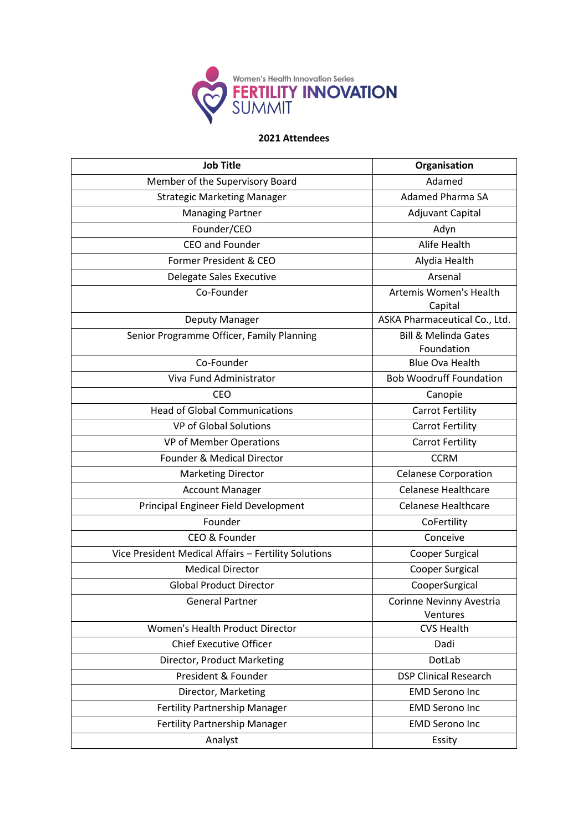

| <b>Job Title</b>                                     | Organisation                                  |
|------------------------------------------------------|-----------------------------------------------|
| Member of the Supervisory Board                      | Adamed                                        |
| <b>Strategic Marketing Manager</b>                   | <b>Adamed Pharma SA</b>                       |
| <b>Managing Partner</b>                              | <b>Adjuvant Capital</b>                       |
| Founder/CEO                                          | Adyn                                          |
| <b>CEO and Founder</b>                               | Alife Health                                  |
| Former President & CEO                               | Alydia Health                                 |
| Delegate Sales Executive                             | Arsenal                                       |
| Co-Founder                                           | Artemis Women's Health<br>Capital             |
| Deputy Manager                                       | ASKA Pharmaceutical Co., Ltd.                 |
| Senior Programme Officer, Family Planning            | <b>Bill &amp; Melinda Gates</b><br>Foundation |
| Co-Founder                                           | <b>Blue Ova Health</b>                        |
| Viva Fund Administrator                              | <b>Bob Woodruff Foundation</b>                |
| <b>CEO</b>                                           | Canopie                                       |
| <b>Head of Global Communications</b>                 | <b>Carrot Fertility</b>                       |
| <b>VP of Global Solutions</b>                        | <b>Carrot Fertility</b>                       |
| VP of Member Operations                              | <b>Carrot Fertility</b>                       |
| Founder & Medical Director                           | <b>CCRM</b>                                   |
| <b>Marketing Director</b>                            | <b>Celanese Corporation</b>                   |
| <b>Account Manager</b>                               | <b>Celanese Healthcare</b>                    |
| Principal Engineer Field Development                 | <b>Celanese Healthcare</b>                    |
| Founder                                              | CoFertility                                   |
| CEO & Founder                                        | Conceive                                      |
| Vice President Medical Affairs - Fertility Solutions | Cooper Surgical                               |
| <b>Medical Director</b>                              | Cooper Surgical                               |
| <b>Global Product Director</b>                       | CooperSurgical                                |
| <b>General Partner</b>                               | Corinne Nevinny Avestria<br>Ventures          |
| Women's Health Product Director                      | <b>CVS Health</b>                             |
| <b>Chief Executive Officer</b>                       | Dadi                                          |
| Director, Product Marketing                          | DotLab                                        |
| President & Founder                                  | <b>DSP Clinical Research</b>                  |
| Director, Marketing                                  | <b>EMD Serono Inc</b>                         |
| <b>Fertility Partnership Manager</b>                 | <b>EMD Serono Inc</b>                         |
| Fertility Partnership Manager                        | <b>EMD Serono Inc</b>                         |
| Analyst                                              | Essity                                        |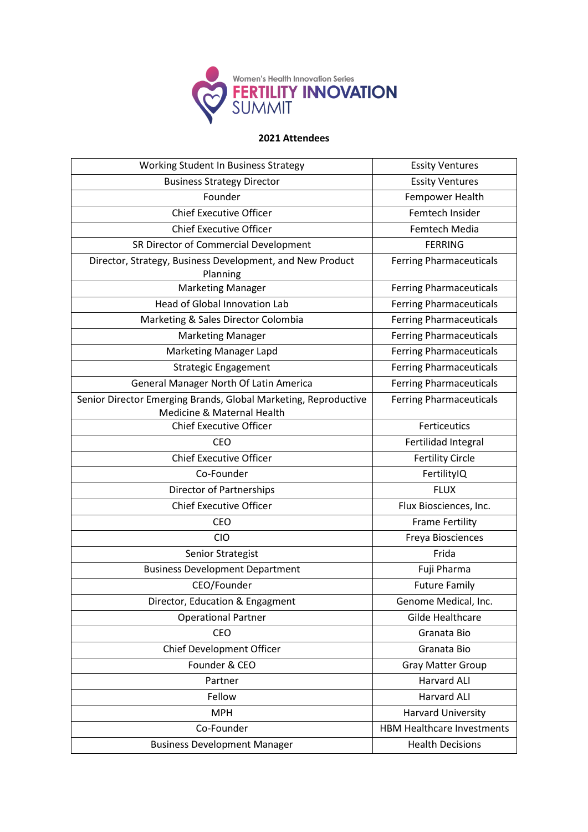

| Working Student In Business Strategy                                                          | <b>Essity Ventures</b>            |
|-----------------------------------------------------------------------------------------------|-----------------------------------|
| <b>Business Strategy Director</b>                                                             | <b>Essity Ventures</b>            |
| Founder                                                                                       | Fempower Health                   |
| <b>Chief Executive Officer</b>                                                                | Femtech Insider                   |
| <b>Chief Executive Officer</b>                                                                | Femtech Media                     |
| SR Director of Commercial Development                                                         | <b>FERRING</b>                    |
| Director, Strategy, Business Development, and New Product<br>Planning                         | <b>Ferring Pharmaceuticals</b>    |
| <b>Marketing Manager</b>                                                                      | <b>Ferring Pharmaceuticals</b>    |
| <b>Head of Global Innovation Lab</b>                                                          | <b>Ferring Pharmaceuticals</b>    |
| Marketing & Sales Director Colombia                                                           | <b>Ferring Pharmaceuticals</b>    |
| <b>Marketing Manager</b>                                                                      | <b>Ferring Pharmaceuticals</b>    |
| <b>Marketing Manager Lapd</b>                                                                 | <b>Ferring Pharmaceuticals</b>    |
| <b>Strategic Engagement</b>                                                                   | <b>Ferring Pharmaceuticals</b>    |
| General Manager North Of Latin America                                                        | <b>Ferring Pharmaceuticals</b>    |
| Senior Director Emerging Brands, Global Marketing, Reproductive<br>Medicine & Maternal Health | <b>Ferring Pharmaceuticals</b>    |
| <b>Chief Executive Officer</b>                                                                | Ferticeutics                      |
| <b>CEO</b>                                                                                    | Fertilidad Integral               |
| <b>Chief Executive Officer</b>                                                                | <b>Fertility Circle</b>           |
| Co-Founder                                                                                    | FertilityIQ                       |
| Director of Partnerships                                                                      | <b>FLUX</b>                       |
| <b>Chief Executive Officer</b>                                                                | Flux Biosciences, Inc.            |
| CEO                                                                                           | <b>Frame Fertility</b>            |
| <b>CIO</b>                                                                                    | Freya Biosciences                 |
| <b>Senior Strategist</b>                                                                      | Frida                             |
| <b>Business Development Department</b>                                                        | Fuji Pharma                       |
| CEO/Founder                                                                                   | <b>Future Family</b>              |
| Director, Education & Engagment                                                               | Genome Medical, Inc.              |
| <b>Operational Partner</b>                                                                    | Gilde Healthcare                  |
| <b>CEO</b>                                                                                    | Granata Bio                       |
| Chief Development Officer                                                                     | Granata Bio                       |
| Founder & CEO                                                                                 | <b>Gray Matter Group</b>          |
| Partner                                                                                       | <b>Harvard ALI</b>                |
| Fellow                                                                                        | <b>Harvard ALI</b>                |
| <b>MPH</b>                                                                                    | <b>Harvard University</b>         |
| Co-Founder                                                                                    | <b>HBM Healthcare Investments</b> |
| <b>Business Development Manager</b>                                                           | <b>Health Decisions</b>           |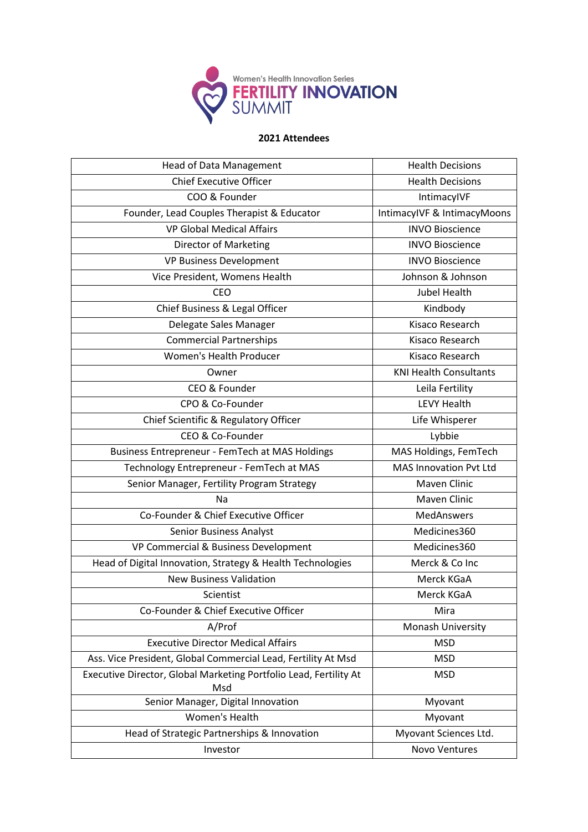

| <b>Head of Data Management</b>                                           | <b>Health Decisions</b>       |
|--------------------------------------------------------------------------|-------------------------------|
| <b>Chief Executive Officer</b>                                           | <b>Health Decisions</b>       |
| COO & Founder                                                            | IntimacylVF                   |
| Founder, Lead Couples Therapist & Educator                               | IntimacyIVF & IntimacyMoons   |
| <b>VP Global Medical Affairs</b>                                         | <b>INVO Bioscience</b>        |
| <b>Director of Marketing</b>                                             | <b>INVO Bioscience</b>        |
| VP Business Development                                                  | <b>INVO Bioscience</b>        |
| Vice President, Womens Health                                            | Johnson & Johnson             |
| <b>CEO</b>                                                               | <b>Jubel Health</b>           |
| Chief Business & Legal Officer                                           | Kindbody                      |
| Delegate Sales Manager                                                   | Kisaco Research               |
| <b>Commercial Partnerships</b>                                           | Kisaco Research               |
| Women's Health Producer                                                  | Kisaco Research               |
| Owner                                                                    | <b>KNI Health Consultants</b> |
| CEO & Founder                                                            | Leila Fertility               |
| CPO & Co-Founder                                                         | <b>LEVY Health</b>            |
| Chief Scientific & Regulatory Officer                                    | Life Whisperer                |
| CEO & Co-Founder                                                         | Lybbie                        |
| Business Entrepreneur - FemTech at MAS Holdings                          | MAS Holdings, FemTech         |
| Technology Entrepreneur - FemTech at MAS                                 | <b>MAS Innovation Pvt Ltd</b> |
| Senior Manager, Fertility Program Strategy                               | Maven Clinic                  |
| Na                                                                       | Maven Clinic                  |
| Co-Founder & Chief Executive Officer                                     | <b>MedAnswers</b>             |
| <b>Senior Business Analyst</b>                                           | Medicines360                  |
| VP Commercial & Business Development                                     | Medicines360                  |
| Head of Digital Innovation, Strategy & Health Technologies               | Merck & Co Inc                |
| <b>New Business Validation</b>                                           | Merck KGaA                    |
| Scientist                                                                | Merck KGaA                    |
| Co-Founder & Chief Executive Officer                                     | Mira                          |
| A/Prof                                                                   | Monash University             |
| <b>Executive Director Medical Affairs</b>                                | <b>MSD</b>                    |
| Ass. Vice President, Global Commercial Lead, Fertility At Msd            | <b>MSD</b>                    |
| Executive Director, Global Marketing Portfolio Lead, Fertility At<br>Msd | <b>MSD</b>                    |
| Senior Manager, Digital Innovation                                       | Myovant                       |
| <b>Women's Health</b>                                                    | Myovant                       |
| Head of Strategic Partnerships & Innovation                              | Myovant Sciences Ltd.         |
| Investor                                                                 | Novo Ventures                 |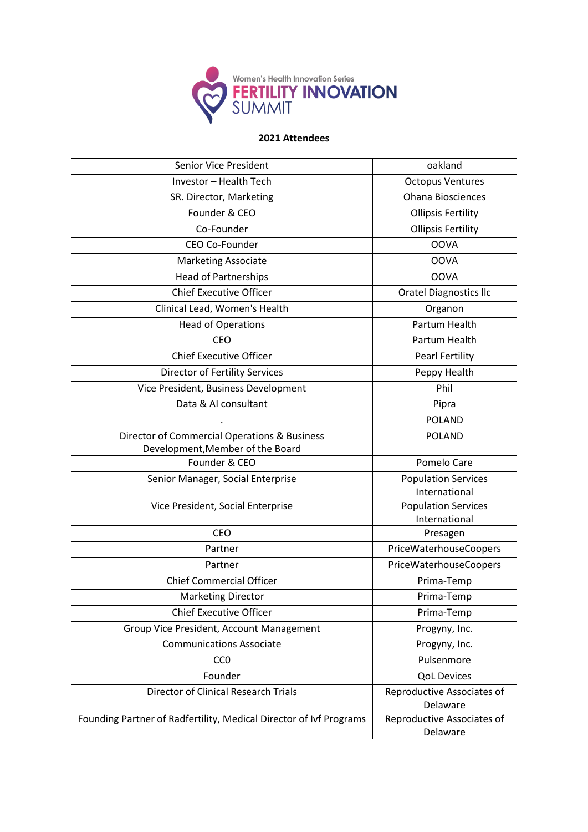

| <b>Senior Vice President</b>                                                | oakland                                |
|-----------------------------------------------------------------------------|----------------------------------------|
| Investor - Health Tech                                                      | <b>Octopus Ventures</b>                |
| SR. Director, Marketing                                                     | <b>Ohana Biosciences</b>               |
| Founder & CEO                                                               | <b>Ollipsis Fertility</b>              |
| Co-Founder                                                                  | <b>Ollipsis Fertility</b>              |
| CEO Co-Founder                                                              | <b>OOVA</b>                            |
| <b>Marketing Associate</b>                                                  | <b>OOVA</b>                            |
| <b>Head of Partnerships</b>                                                 | <b>OOVA</b>                            |
| <b>Chief Executive Officer</b>                                              | <b>Oratel Diagnostics Ilc</b>          |
| Clinical Lead, Women's Health                                               | Organon                                |
| <b>Head of Operations</b>                                                   | Partum Health                          |
| CEO                                                                         | Partum Health                          |
| <b>Chief Executive Officer</b>                                              | <b>Pearl Fertility</b>                 |
| <b>Director of Fertility Services</b>                                       | Peppy Health                           |
| Vice President, Business Development                                        | Phil                                   |
| Data & AI consultant                                                        | Pipra                                  |
|                                                                             | <b>POLAND</b>                          |
| Director of Commercial Operations & Business                                | <b>POLAND</b>                          |
| Development, Member of the Board                                            |                                        |
| Founder & CEO                                                               | Pomelo Care                            |
| Senior Manager, Social Enterprise                                           | <b>Population Services</b>             |
|                                                                             | International                          |
| Vice President, Social Enterprise                                           | <b>Population Services</b>             |
| CEO                                                                         | International<br>Presagen              |
| Partner                                                                     | PriceWaterhouseCoopers                 |
| Partner                                                                     | PriceWaterhouseCoopers                 |
| <b>Chief Commercial Officer</b>                                             | Prima-Temp                             |
| <b>Marketing Director</b>                                                   | Prima-Temp                             |
| <b>Chief Executive Officer</b>                                              | Prima-Temp                             |
|                                                                             |                                        |
| Group Vice President, Account Management<br><b>Communications Associate</b> | Progyny, Inc.                          |
|                                                                             | Progyny, Inc.                          |
| CC <sub>0</sub>                                                             | Pulsenmore                             |
| Founder                                                                     | <b>QoL Devices</b>                     |
| <b>Director of Clinical Research Trials</b>                                 | Reproductive Associates of<br>Delaware |
| Founding Partner of Radfertility, Medical Director of Ivf Programs          | Reproductive Associates of             |
|                                                                             | Delaware                               |
|                                                                             |                                        |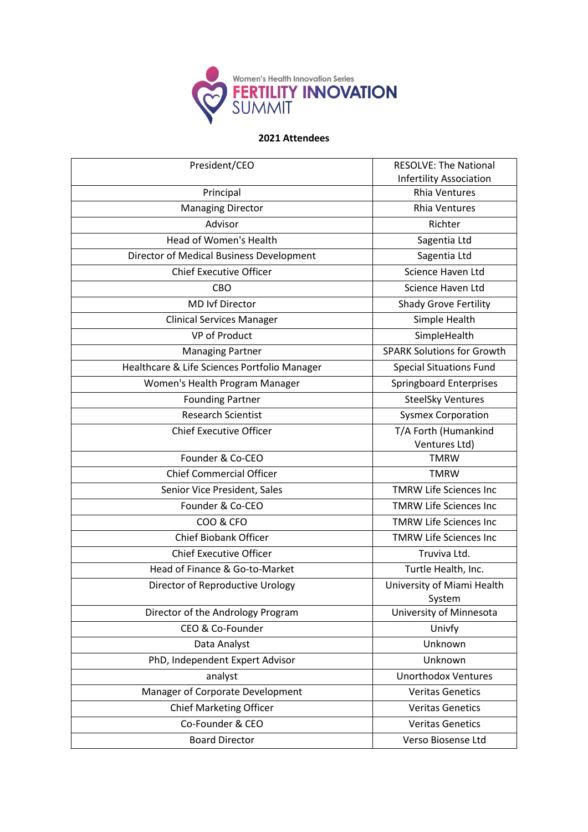

| President/CEO                                | <b>RESOLVE: The National</b><br><b>Infertility Association</b> |
|----------------------------------------------|----------------------------------------------------------------|
| Principal                                    | <b>Rhia Ventures</b>                                           |
| <b>Managing Director</b>                     | <b>Rhia Ventures</b>                                           |
| Advisor                                      | Richter                                                        |
| Head of Women's Health                       | Sagentia Ltd                                                   |
| Director of Medical Business Development     | Sagentia Ltd                                                   |
| <b>Chief Executive Officer</b>               | Science Haven Ltd                                              |
| CBO                                          | <b>Science Haven Ltd</b>                                       |
| <b>MD Ivf Director</b>                       | Shady Grove Fertility                                          |
| <b>Clinical Services Manager</b>             | Simple Health                                                  |
| <b>VP of Product</b>                         | SimpleHealth                                                   |
| <b>Managing Partner</b>                      | <b>SPARK Solutions for Growth</b>                              |
| Healthcare & Life Sciences Portfolio Manager | <b>Special Situations Fund</b>                                 |
| Women's Health Program Manager               | <b>Springboard Enterprises</b>                                 |
| <b>Founding Partner</b>                      | <b>SteelSky Ventures</b>                                       |
| <b>Research Scientist</b>                    | <b>Sysmex Corporation</b>                                      |
| <b>Chief Executive Officer</b>               | T/A Forth (Humankind<br>Ventures Ltd)                          |
| Founder & Co-CEO                             | <b>TMRW</b>                                                    |
| <b>Chief Commercial Officer</b>              | <b>TMRW</b>                                                    |
| Senior Vice President, Sales                 | <b>TMRW Life Sciences Inc</b>                                  |
| Founder & Co-CEO                             | <b>TMRW Life Sciences Inc</b>                                  |
| COO & CFO                                    | <b>TMRW Life Sciences Inc</b>                                  |
| <b>Chief Biobank Officer</b>                 | <b>TMRW Life Sciences Inc</b>                                  |
| <b>Chief Executive Officer</b>               | Truviva Ltd.                                                   |
| Head of Finance & Go-to-Market               | Turtle Health, Inc.                                            |
| Director of Reproductive Urology             | University of Miami Health<br>System                           |
| Director of the Andrology Program            | University of Minnesota                                        |
| CEO & Co-Founder                             | Univfy                                                         |
| Data Analyst                                 | Unknown                                                        |
| PhD, Independent Expert Advisor              | Unknown                                                        |
| analyst                                      | <b>Unorthodox Ventures</b>                                     |
| Manager of Corporate Development             | <b>Veritas Genetics</b>                                        |
| <b>Chief Marketing Officer</b>               | <b>Veritas Genetics</b>                                        |
| Co-Founder & CEO                             | <b>Veritas Genetics</b>                                        |
| <b>Board Director</b>                        | Verso Biosense Ltd                                             |